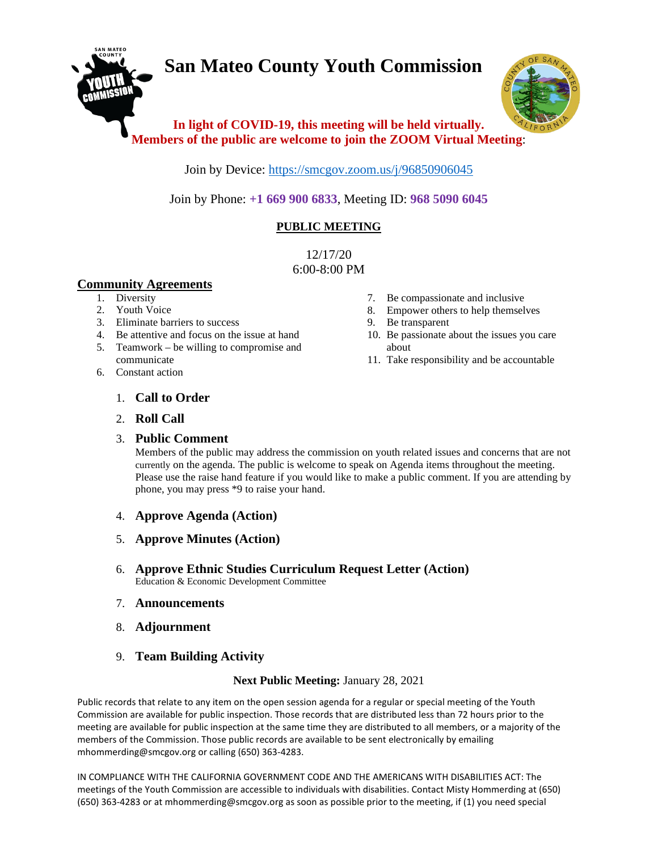# **San Mateo County Youth Commission**



## **In light of COVID-19, this meeting will be held virtually. Members of the public are welcome to join the ZOOM Virtual Meeting**:

Join by Device:<https://smcgov.zoom.us/j/96850906045>

Join by Phone: **+1 669 900 6833**, Meeting ID: **968 5090 6045**

### **PUBLIC MEETING**

12/17/20 6:00-8:00 PM

#### **Community Agreements**

- 1. Diversity
- 2. Youth Voice
- 3. Eliminate barriers to success
- 4. Be attentive and focus on the issue at hand
- 5. Teamwork be willing to compromise and communicate
- 6. Constant action
- 7. Be compassionate and inclusive
- 8. Empower others to help themselves
- 9. Be transparent
- 10. Be passionate about the issues you care about
- 11. Take responsibility and be accountable

- 1. **Call to Order**
- 2. **Roll Call**

#### 3. **Public Comment**

Members of the public may address the commission on youth related issues and concerns that are not currently on the agenda. The public is welcome to speak on Agenda items throughout the meeting. Please use the raise hand feature if you would like to make a public comment. If you are attending by phone, you may press \*9 to raise your hand.

- 4. **Approve Agenda (Action)**
- 5. **Approve Minutes (Action)**
- 6. **Approve Ethnic Studies Curriculum Request Letter (Action)** Education & Economic Development Committee
- 7. **Announcements**
- 8. **Adjournment**
- 9. **Team Building Activity**

#### **Next Public Meeting:** January 28, 2021

Public records that relate to any item on the open session agenda for a regular or special meeting of the Youth Commission are available for public inspection. Those records that are distributed less than 72 hours prior to the meeting are available for public inspection at the same time they are distributed to all members, or a majority of the members of the Commission. Those public records are available to be sent electronically by emailing mhommerding@smcgov.org or calling (650) 363-4283.

IN COMPLIANCE WITH THE CALIFORNIA GOVERNMENT CODE AND THE AMERICANS WITH DISABILITIES ACT: The meetings of the Youth Commission are accessible to individuals with disabilities. Contact Misty Hommerding at (650) (650) 363-4283 or at mhommerding@smcgov.org as soon as possible prior to the meeting, if (1) you need special